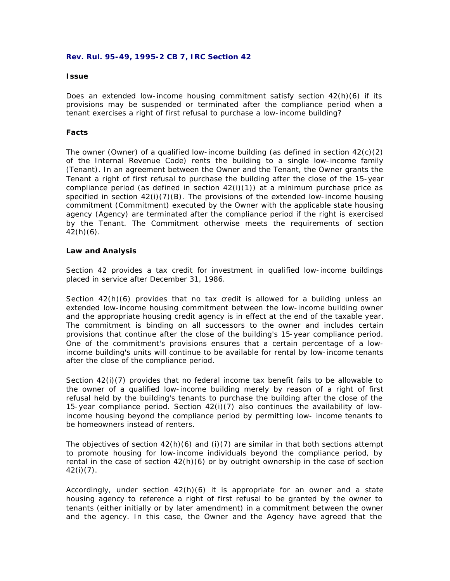### **Rev. Rul. 95-49, 1995-2 CB 7, IRC Section 42**

#### **Issue**

Does an extended low-income housing commitment satisfy section 42(h)(6) if its provisions may be suspended or terminated after the compliance period when a tenant exercises a right of first refusal to purchase a low-income building?

### **Facts**

The owner (Owner) of a qualified low-income building (as defined in section  $42(c)(2)$ of the Internal Revenue Code) rents the building to a single low-income family (Tenant). In an agreement between the Owner and the Tenant, the Owner grants the Tenant a right of first refusal to purchase the building after the close of the 15-year compliance period (as defined in section  $42(i)(1)$ ) at a minimum purchase price as specified in section  $42(i)(7)(B)$ . The provisions of the extended low-income housing commitment (Commitment) executed by the Owner with the applicable state housing agency (Agency) are terminated after the compliance period if the right is exercised by the Tenant. The Commitment otherwise meets the requirements of section  $42(h)(6)$ .

### **Law and Analysis**

Section 42 provides a tax credit for investment in qualified low-income buildings placed in service after December 31, 1986.

Section 42(h)(6) provides that no tax credit is allowed for a building unless an extended low-income housing commitment between the low-income building owner and the appropriate housing credit agency is in effect at the end of the taxable year. The commitment is binding on all successors to the owner and includes certain provisions that continue after the close of the building's 15-year compliance period. One of the commitment's provisions ensures that a certain percentage of a lowincome building's units will continue to be available for rental by low-income tenants after the close of the compliance period.

Section  $42(i)(7)$  provides that no federal income tax benefit fails to be allowable to the owner of a qualified low-income building merely by reason of a right of first refusal held by the building's tenants to purchase the building after the close of the 15-year compliance period. Section 42(i)(7) also continues the availability of lowincome housing beyond the compliance period by permitting low- income tenants to be homeowners instead of renters.

The objectives of section  $42(h)(6)$  and (i)(7) are similar in that both sections attempt to promote housing for low-income individuals beyond the compliance period, by rental in the case of section  $42(h)(6)$  or by outright ownership in the case of section 42(i)(7).

Accordingly, under section 42(h)(6) it is appropriate for an owner and a state housing agency to reference a right of first refusal to be granted by the owner to tenants (either initially or by later amendment) in a commitment between the owner and the agency. In this case, the Owner and the Agency have agreed that the